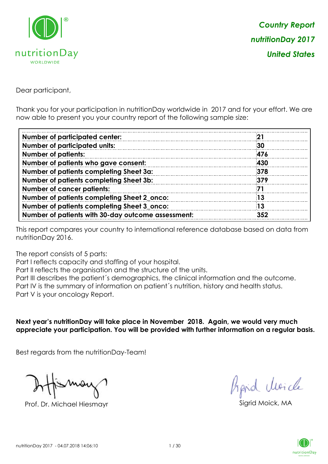

Dear participant,

Thank you for your participation in nutritionDay worldwide in 2017 and for your effort. We are now able to present you your country report of the following sample size:

| <b>Number of participated center:</b>              | -21 |
|----------------------------------------------------|-----|
| <b>Number of participated units:</b>               | 30  |
| <b>Number of patients:</b>                         | 476 |
| Number of patients who gave consent:               | 430 |
| Number of patients completing Sheet 3a:            | 378 |
| Number of patients completing Sheet 3b:            | 379 |
| <b>Number of cancer patients:</b>                  | 71  |
| Number of patients completing Sheet 2_onco:        | 13  |
| Number of patients completing Sheet 3_onco:        | 13  |
| Number of patients with 30-day outcome assessment: | 352 |

This report compares your country to international reference database based on data from nutritionDay 2016.

The report consists of 5 parts:

Part I reflects capacity and staffing of your hospital.

Part II reflects the organisation and the structure of the units.

Part III describes the patient´s demographics, the clinical information and the outcome.

Part IV is the summary of information on patient´s nutrition, history and health status.

Part V is your oncology Report.

**Next year's nutritionDay will take place in November 2018. Again, we would very much appreciate your participation. You will be provided with further information on a regular basis.**

Best regards from the nutritionDay-Team!

Prof. Dr. Michael Hiesmayr Sigrid Moick, MA

fraid Moich

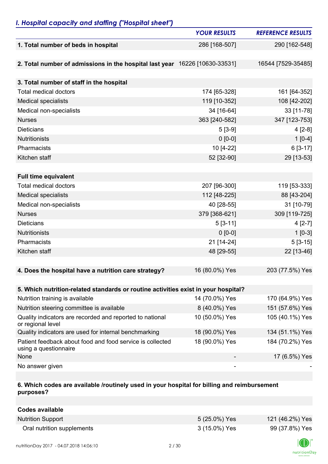### *I. Hospital capacity and staffing ("Hospital sheet")*

|                                                                                    | <b>YOUR RESULTS</b> | <b>REFERENCE RESULTS</b> |
|------------------------------------------------------------------------------------|---------------------|--------------------------|
| 1. Total number of beds in hospital                                                | 286 [168-507]       | 290 [162-548]            |
|                                                                                    |                     |                          |
| 2. Total number of admissions in the hospital last year 16226 [10630-33531]        |                     | 16544 [7529-35485]       |
|                                                                                    |                     |                          |
| 3. Total number of staff in the hospital                                           |                     |                          |
| <b>Total medical doctors</b>                                                       | 174 [65-328]        | 161 [64-352]             |
| <b>Medical specialists</b>                                                         | 119 [10-352]        | 108 [42-202]             |
| Medical non-specialists                                                            | 34 [16-64]          | 33 [11-78]               |
| <b>Nurses</b>                                                                      | 363 [240-582]       | 347 [123-753]            |
| <b>Dieticians</b>                                                                  | $5[3-9]$            | $4[2-8]$                 |
| <b>Nutritionists</b>                                                               | $0 [0-0]$           | $1[0-4]$                 |
| Pharmacists                                                                        | 10 [4-22]           | $6[3-17]$                |
| Kitchen staff                                                                      | 52 [32-90]          | 29 [13-53]               |
|                                                                                    |                     |                          |
| <b>Full time equivalent</b>                                                        |                     |                          |
| <b>Total medical doctors</b>                                                       | 207 [96-300]        | 119 [53-333]             |
| <b>Medical specialists</b>                                                         | 112 [48-225]        | 88 [43-204]              |
| Medical non-specialists                                                            | 40 [28-55]          | 31 [10-79]               |
| <b>Nurses</b>                                                                      | 379 [368-621]       | 309 [119-725]            |
| <b>Dieticians</b>                                                                  | $5[3-11]$           | $4[2-7]$                 |
| <b>Nutritionists</b>                                                               | $0 [0-0]$           | $1[0-3]$                 |
| Pharmacists                                                                        | 21 [14-24]          | $5[3-15]$                |
| Kitchen staff                                                                      | 48 [29-55]          | 22 [13-46]               |
|                                                                                    |                     |                          |
| 4. Does the hospital have a nutrition care strategy?                               | 16 (80.0%) Yes      | 203 (77.5%) Yes          |
|                                                                                    |                     |                          |
| 5. Which nutrition-related standards or routine activities exist in your hospital? |                     |                          |
| Nutrition training is available                                                    | 14 (70.0%) Yes      | 170 (64.9%) Yes          |
| Nutrition steering committee is available                                          | 8 (40.0%) Yes       | 151 (57.6%) Yes          |
| Quality indicators are recorded and reported to national<br>or regional level      | 10 (50.0%) Yes      | 105 (40.1%) Yes          |
| Quality indicators are used for internal benchmarking                              | 18 (90.0%) Yes      | 134 (51.1%) Yes          |
| Patient feedback about food and food service is collected<br>using a questionnaire | 18 (90.0%) Yes      | 184 (70.2%) Yes          |
| None                                                                               |                     | 17 (6.5%) Yes            |
| No answer given                                                                    |                     |                          |

### **6. Which codes are available /routinely used in your hospital for billing and reimbursement purposes?**

| <b>Codes available</b>     |               |                 |
|----------------------------|---------------|-----------------|
| <b>Nutrition Support</b>   | 5 (25.0%) Yes | 121 (46.2%) Yes |
| Oral nutrition supplements | 3 (15.0%) Yes | 99 (37.8%) Yes  |

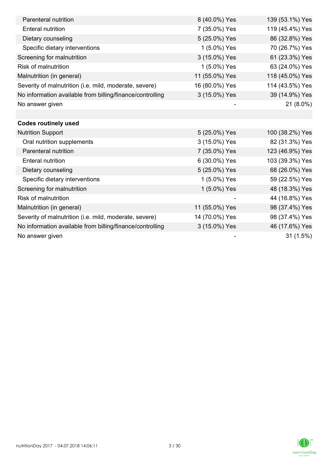| Parenteral nutrition                                      | 8 (40.0%) Yes  | 139 (53.1%) Yes |
|-----------------------------------------------------------|----------------|-----------------|
| <b>Enteral nutrition</b>                                  | 7 (35.0%) Yes  | 119 (45.4%) Yes |
| Dietary counseling                                        | 5 (25.0%) Yes  | 86 (32.8%) Yes  |
| Specific dietary interventions                            | 1 (5.0%) Yes   | 70 (26.7%) Yes  |
| Screening for malnutrition                                | 3 (15.0%) Yes  | 61 (23.3%) Yes  |
| <b>Risk of malnutrition</b>                               | 1 (5.0%) Yes   | 63 (24.0%) Yes  |
| Malnutrition (in general)                                 | 11 (55.0%) Yes | 118 (45.0%) Yes |
| Severity of malnutrition (i.e. mild, moderate, severe)    | 16 (80.0%) Yes | 114 (43.5%) Yes |
| No information available from billing/finance/controlling | 3 (15.0%) Yes  | 39 (14.9%) Yes  |
| No answer given                                           |                | 21 (8.0%)       |
|                                                           |                |                 |
| <b>Codes routinely used</b>                               |                |                 |
| <b>Nutrition Support</b>                                  | 5 (25.0%) Yes  | 100 (38.2%) Yes |
| Oral nutrition supplements                                | 3 (15.0%) Yes  | 82 (31.3%) Yes  |
| Parenteral nutrition                                      | 7 (35.0%) Yes  | 123 (46.9%) Yes |
| <b>Enteral nutrition</b>                                  | 6 (30.0%) Yes  | 103 (39.3%) Yes |
| Dietary counseling                                        | 5 (25.0%) Yes  | 68 (26.0%) Yes  |
| Specific dietary interventions                            | 1 (5.0%) Yes   | 59 (22.5%) Yes  |
| Screening for malnutrition                                | 1 (5.0%) Yes   | 48 (18.3%) Yes  |
| <b>Risk of malnutrition</b>                               |                | 44 (16.8%) Yes  |
| Malnutrition (in general)                                 | 11 (55.0%) Yes | 98 (37.4%) Yes  |
| Severity of malnutrition (i.e. mild, moderate, severe)    | 14 (70.0%) Yes | 98 (37.4%) Yes  |
| No information available from billing/finance/controlling | 3 (15.0%) Yes  | 46 (17.6%) Yes  |
| No answer given                                           |                | 31(1.5%)        |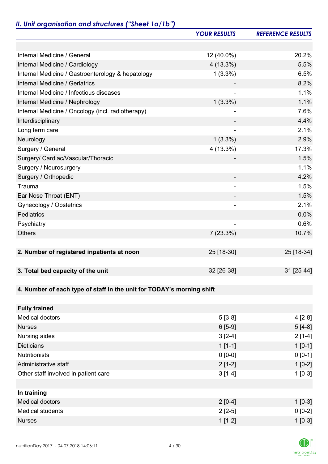# *II. Unit organisation and structures ("Sheet 1a/1b")*

|                                                                       | <b>YOUR RESULTS</b>      | <b>REFERENCE RESULTS</b> |
|-----------------------------------------------------------------------|--------------------------|--------------------------|
|                                                                       |                          |                          |
| Internal Medicine / General                                           | 12 (40.0%)               | 20.2%                    |
| Internal Medicine / Cardiology                                        | 4 (13.3%)                | 5.5%                     |
| Internal Medicine / Gastroenterology & hepatology                     | $1(3.3\%)$               | 6.5%                     |
| Internal Medicine / Geriatrics                                        |                          | 8.2%                     |
| Internal Medicine / Infectious diseases                               | $\overline{\phantom{a}}$ | 1.1%                     |
| Internal Medicine / Nephrology                                        | $1(3.3\%)$               | 1.1%                     |
| Internal Medicine / Oncology (incl. radiotherapy)                     |                          | 7.6%                     |
| Interdisciplinary                                                     |                          | 4.4%                     |
| Long term care                                                        |                          | 2.1%                     |
| Neurology                                                             | $1(3.3\%)$               | 2.9%                     |
| Surgery / General                                                     | 4 (13.3%)                | 17.3%                    |
| Surgery/ Cardiac/Vascular/Thoracic                                    |                          | 1.5%                     |
| Surgery / Neurosurgery                                                | ٠                        | 1.1%                     |
| Surgery / Orthopedic                                                  |                          | 4.2%                     |
| Trauma                                                                |                          | 1.5%                     |
| Ear Nose Throat (ENT)                                                 |                          | 1.5%                     |
| Gynecology / Obstetrics                                               | $\overline{\phantom{a}}$ | 2.1%                     |
| Pediatrics                                                            |                          | 0.0%                     |
| Psychiatry                                                            |                          | 0.6%                     |
| <b>Others</b>                                                         | 7(23.3%)                 | 10.7%                    |
|                                                                       |                          |                          |
| 2. Number of registered inpatients at noon                            | 25 [18-30]               | 25 [18-34]               |
|                                                                       |                          |                          |
| 3. Total bed capacity of the unit                                     | 32 [26-38]               | 31 [25-44]               |
|                                                                       |                          |                          |
| 4. Number of each type of staff in the unit for TODAY's morning shift |                          |                          |
|                                                                       |                          |                          |
| <b>Fully trained</b>                                                  |                          |                          |
| <b>Medical doctors</b>                                                | $5[3-8]$                 | $4[2-8]$                 |
| <b>Nurses</b>                                                         | $6[5-9]$                 | $5[4-8]$                 |
| Nursing aides                                                         | $3[2-4]$                 | $2[1-4]$                 |
| <b>Dieticians</b>                                                     | $1[1-1]$                 | $1[0-1]$                 |
| <b>Nutritionists</b>                                                  | $0 [0-0]$                | $0 [0-1]$                |
| Administrative staff                                                  | $2[1-2]$                 | $1[0-2]$                 |
| Other staff involved in patient care                                  | $3[1-4]$                 | $1[0-3]$                 |
|                                                                       |                          |                          |
| In training                                                           |                          |                          |
| <b>Medical doctors</b>                                                | $2[0-4]$                 | $1[0-3]$                 |
| <b>Medical students</b>                                               | $2[2-5]$                 | $0 [0-2]$                |
| <b>Nurses</b>                                                         | $1[1-2]$                 | $1[0-3]$                 |

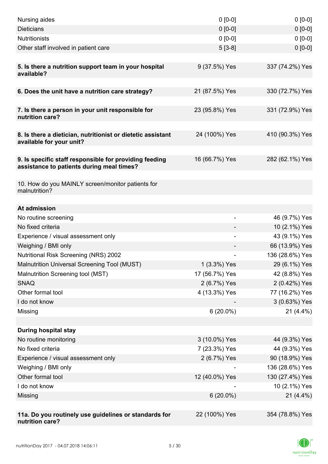| Nursing aides                                                                                       | $0 [0-0]$      | $0[0-0]$        |
|-----------------------------------------------------------------------------------------------------|----------------|-----------------|
| <b>Dieticians</b>                                                                                   | $0 [0-0]$      | $0 [0-0]$       |
| <b>Nutritionists</b>                                                                                | $0 [0-0]$      | $0 [0-0]$       |
| Other staff involved in patient care                                                                | $5[3-8]$       | $0 [0-0]$       |
|                                                                                                     |                |                 |
| 5. Is there a nutrition support team in your hospital<br>available?                                 | 9 (37.5%) Yes  | 337 (74.2%) Yes |
| 6. Does the unit have a nutrition care strategy?                                                    | 21 (87.5%) Yes | 330 (72.7%) Yes |
|                                                                                                     |                |                 |
| 7. Is there a person in your unit responsible for<br>nutrition care?                                | 23 (95.8%) Yes | 331 (72.9%) Yes |
| 8. Is there a dietician, nutritionist or dietetic assistant<br>available for your unit?             | 24 (100%) Yes  | 410 (90.3%) Yes |
| 9. Is specific staff responsible for providing feeding<br>assistance to patients during meal times? | 16 (66.7%) Yes | 282 (62.1%) Yes |
| 10. How do you MAINLY screen/monitor patients for<br>malnutrition?                                  |                |                 |
| At admission                                                                                        |                |                 |
| No routine screening                                                                                |                | 46 (9.7%) Yes   |
| No fixed criteria                                                                                   |                | 10 (2.1%) Yes   |
| Experience / visual assessment only                                                                 |                | 43 (9.1%) Yes   |
| Weighing / BMI only                                                                                 |                | 66 (13.9%) Yes  |
| Nutritional Risk Screening (NRS) 2002                                                               |                | 136 (28.6%) Yes |
| Malnutrition Universal Screening Tool (MUST)                                                        | 1 (3.3%) Yes   | 29 (6.1%) Yes   |
| Malnutrition Screening tool (MST)                                                                   | 17 (56.7%) Yes | 42 (8.8%) Yes   |
| <b>SNAQ</b>                                                                                         | 2 (6.7%) Yes   | 2 (0.42%) Yes   |
| Other formal tool                                                                                   | 4 (13.3%) Yes  | 77 (16.2%) Yes  |
| I do not know                                                                                       |                | 3 (0.63%) Yes   |
| Missing                                                                                             | $6(20.0\%)$    | $21(4.4\%)$     |
|                                                                                                     |                |                 |
| <b>During hospital stay</b>                                                                         |                |                 |
| No routine monitoring                                                                               | 3 (10.0%) Yes  | 44 (9.3%) Yes   |
| No fixed criteria                                                                                   | 7 (23.3%) Yes  | 44 (9.3%) Yes   |
| Experience / visual assessment only                                                                 | 2 (6.7%) Yes   | 90 (18.9%) Yes  |
| Weighing / BMI only                                                                                 |                | 136 (28.6%) Yes |
| Other formal tool                                                                                   | 12 (40.0%) Yes | 130 (27.4%) Yes |
| I do not know                                                                                       |                | 10 (2.1%) Yes   |
| Missing                                                                                             | $6(20.0\%)$    | $21(4.4\%)$     |
|                                                                                                     |                |                 |
| 11a. Do you routinely use guidelines or standards for<br>nutrition care?                            | 22 (100%) Yes  | 354 (78.8%) Yes |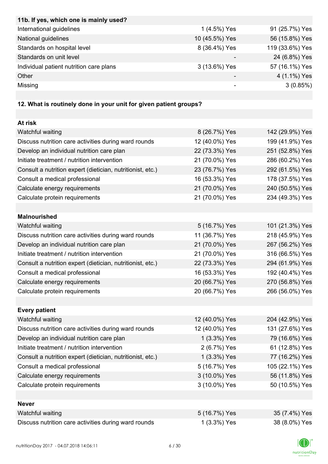| 11b. If yes, which one is mainly used?  |                |                 |
|-----------------------------------------|----------------|-----------------|
| International guidelines                | 1 (4.5%) Yes   | 91 (25.7%) Yes  |
| National guidelines                     | 10 (45.5%) Yes | 56 (15.8%) Yes  |
| Standards on hospital level             | 8 (36.4%) Yes  | 119 (33.6%) Yes |
| Standards on unit level                 |                | 24 (6.8%) Yes   |
| Individual patient nutrition care plans | 3 (13.6%) Yes  | 57 (16.1%) Yes  |
| Other                                   |                | 4 (1.1%) Yes    |
| Missing                                 |                | 3(0.85%)        |

## **12. What is routinely done in your unit for given patient groups?**

| At risk                                                    |                |                 |
|------------------------------------------------------------|----------------|-----------------|
| Watchful waiting                                           | 8 (26.7%) Yes  | 142 (29.9%) Yes |
| Discuss nutrition care activities during ward rounds       | 12 (40.0%) Yes | 199 (41.9%) Yes |
| Develop an individual nutrition care plan                  | 22 (73.3%) Yes | 251 (52.8%) Yes |
| Initiate treatment / nutrition intervention                | 21 (70.0%) Yes | 286 (60.2%) Yes |
| Consult a nutrition expert (dietician, nutritionist, etc.) | 23 (76.7%) Yes | 292 (61.5%) Yes |
| Consult a medical professional                             | 16 (53.3%) Yes | 178 (37.5%) Yes |
| Calculate energy requirements                              | 21 (70.0%) Yes | 240 (50.5%) Yes |
| Calculate protein requirements                             | 21 (70.0%) Yes | 234 (49.3%) Yes |
|                                                            |                |                 |
| <b>Malnourished</b>                                        |                |                 |
| Watchful waiting                                           | 5 (16.7%) Yes  | 101 (21.3%) Yes |
| Discuss nutrition care activities during ward rounds       | 11 (36.7%) Yes | 218 (45.9%) Yes |
| Develop an individual nutrition care plan                  | 21 (70.0%) Yes | 267 (56.2%) Yes |
| Initiate treatment / nutrition intervention                | 21 (70.0%) Yes | 316 (66.5%) Yes |
| Consult a nutrition expert (dietician, nutritionist, etc.) | 22 (73.3%) Yes | 294 (61.9%) Yes |
| Consult a medical professional                             | 16 (53.3%) Yes | 192 (40.4%) Yes |
| Calculate energy requirements                              | 20 (66.7%) Yes | 270 (56.8%) Yes |
| Calculate protein requirements                             | 20 (66.7%) Yes | 266 (56.0%) Yes |
|                                                            |                |                 |
| <b>Every patient</b>                                       |                |                 |
| Watchful waiting                                           | 12 (40.0%) Yes | 204 (42.9%) Yes |
| Discuss nutrition care activities during ward rounds       | 12 (40.0%) Yes | 131 (27.6%) Yes |
| Develop an individual nutrition care plan                  | 1 (3.3%) Yes   | 79 (16.6%) Yes  |
| Initiate treatment / nutrition intervention                | 2 (6.7%) Yes   | 61 (12.8%) Yes  |
| Consult a nutrition expert (dietician, nutritionist, etc.) | 1 (3.3%) Yes   | 77 (16.2%) Yes  |
| Consult a medical professional                             | 5 (16.7%) Yes  | 105 (22.1%) Yes |
| Calculate energy requirements                              | 3 (10.0%) Yes  | 56 (11.8%) Yes  |
| Calculate protein requirements                             | 3 (10.0%) Yes  | 50 (10.5%) Yes  |
|                                                            |                |                 |
| <b>Never</b>                                               |                |                 |
| Watchful waiting                                           | 5 (16.7%) Yes  | 35 (7.4%) Yes   |
| Discuss nutrition care activities during ward rounds       | 1 (3.3%) Yes   | 38 (8.0%) Yes   |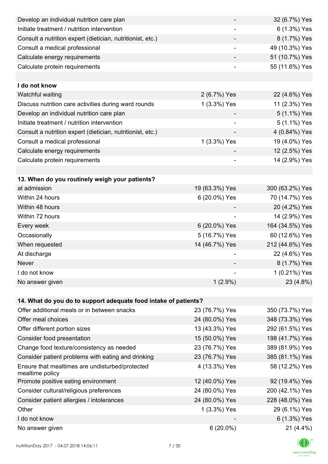| Develop an individual nutrition care plan                          |                              | 32 (6.7%) Yes   |
|--------------------------------------------------------------------|------------------------------|-----------------|
| Initiate treatment / nutrition intervention                        |                              | 6 (1.3%) Yes    |
| Consult a nutrition expert (dietician, nutritionist, etc.)         |                              | 8 (1.7%) Yes    |
| Consult a medical professional                                     | ۰                            | 49 (10.3%) Yes  |
| Calculate energy requirements                                      |                              | 51 (10.7%) Yes  |
| Calculate protein requirements                                     |                              | 55 (11.6%) Yes  |
|                                                                    |                              |                 |
| I do not know                                                      |                              |                 |
| Watchful waiting                                                   | 2 (6.7%) Yes                 | 22 (4.6%) Yes   |
| Discuss nutrition care activities during ward rounds               | 1 (3.3%) Yes                 | 11 (2.3%) Yes   |
| Develop an individual nutrition care plan                          |                              | 5 (1.1%) Yes    |
| Initiate treatment / nutrition intervention                        |                              | 5 (1.1%) Yes    |
| Consult a nutrition expert (dietician, nutritionist, etc.)         |                              | 4 (0.84%) Yes   |
| Consult a medical professional                                     | 1 (3.3%) Yes                 | 19 (4.0%) Yes   |
| Calculate energy requirements                                      |                              | 12 (2.5%) Yes   |
| Calculate protein requirements                                     | $\overline{\phantom{0}}$     | 14 (2.9%) Yes   |
|                                                                    |                              |                 |
| 13. When do you routinely weigh your patients?                     |                              |                 |
| at admission                                                       | 19 (63.3%) Yes               | 300 (63.2%) Yes |
| Within 24 hours                                                    | 6 (20.0%) Yes                | 70 (14.7%) Yes  |
| Within 48 hours                                                    |                              | 20 (4.2%) Yes   |
| Within 72 hours                                                    | $\qquad \qquad \blacksquare$ | 14 (2.9%) Yes   |
| Every week                                                         | 6 (20.0%) Yes                | 164 (34.5%) Yes |
| Occasionally                                                       | 5 (16.7%) Yes                | 60 (12.6%) Yes  |
| When requested                                                     | 14 (46.7%) Yes               | 212 (44.6%) Yes |
| At discharge                                                       |                              | 22 (4.6%) Yes   |
| Never                                                              |                              | 8 (1.7%) Yes    |
| I do not know                                                      |                              | 1 (0.21%) Yes   |
| No answer given                                                    | $1(2.9\%)$                   | 23 (4.8%)       |
|                                                                    |                              |                 |
| 14. What do you do to support adequate food intake of patients?    |                              |                 |
| Offer additional meals or in between snacks                        | 23 (76.7%) Yes               | 350 (73.7%) Yes |
| Offer meal choices                                                 | 24 (80.0%) Yes               | 348 (73.3%) Yes |
| Offer different portion sizes                                      | 13 (43.3%) Yes               | 292 (61.5%) Yes |
| Consider food presentation                                         | 15 (50.0%) Yes               | 198 (41.7%) Yes |
| Change food texture/consistency as needed                          | 23 (76.7%) Yes               | 389 (81.9%) Yes |
| Consider patient problems with eating and drinking                 | 23 (76.7%) Yes               | 385 (81.1%) Yes |
| Ensure that mealtimes are undisturbed/protected<br>mealtime policy | 4 (13.3%) Yes                | 58 (12.2%) Yes  |
| Promote positive eating environment                                | 12 (40.0%) Yes               | 92 (19.4%) Yes  |
| Consider cultural/religious preferences                            | 24 (80.0%) Yes               | 200 (42.1%) Yes |
| Consider patient allergies / intolerances                          | 24 (80.0%) Yes               | 228 (48.0%) Yes |
| Other                                                              | 1 (3.3%) Yes                 | 29 (6.1%) Yes   |
| I do not know                                                      |                              | 6 (1.3%) Yes    |
| No answer given                                                    | $6(20.0\%)$                  | $21(4.4\%)$     |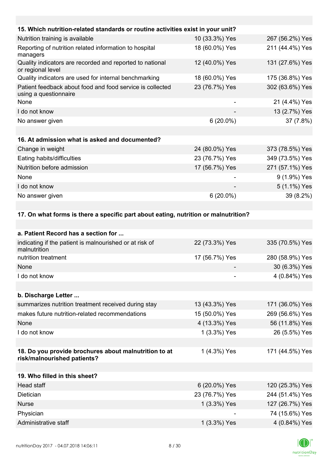| 15. Which nutrition-related standards or routine activities exist in your unit?      |                |                 |
|--------------------------------------------------------------------------------------|----------------|-----------------|
| Nutrition training is available                                                      | 10 (33.3%) Yes | 267 (56.2%) Yes |
| Reporting of nutrition related information to hospital<br>managers                   | 18 (60.0%) Yes | 211 (44.4%) Yes |
| Quality indicators are recorded and reported to national<br>or regional level        | 12 (40.0%) Yes | 131 (27.6%) Yes |
| Quality indicators are used for internal benchmarking                                | 18 (60.0%) Yes | 175 (36.8%) Yes |
| Patient feedback about food and food service is collected<br>using a questionnaire   | 23 (76.7%) Yes | 302 (63.6%) Yes |
| None                                                                                 |                | 21 (4.4%) Yes   |
| I do not know                                                                        |                | 13 (2.7%) Yes   |
| No answer given                                                                      | $6(20.0\%)$    | 37 (7.8%)       |
|                                                                                      |                |                 |
| 16. At admission what is asked and documented?                                       |                |                 |
| Change in weight                                                                     | 24 (80.0%) Yes | 373 (78.5%) Yes |
| Eating habits/difficulties                                                           | 23 (76.7%) Yes | 349 (73.5%) Yes |
| Nutrition before admission                                                           | 17 (56.7%) Yes | 271 (57.1%) Yes |
| None                                                                                 |                | 9 (1.9%) Yes    |
| I do not know                                                                        |                | 5 (1.1%) Yes    |
| No answer given                                                                      | $6(20.0\%)$    | 39 (8.2%)       |
|                                                                                      |                |                 |
| 17. On what forms is there a specific part about eating, nutrition or malnutrition?  |                |                 |
|                                                                                      |                |                 |
| a. Patient Record has a section for                                                  |                |                 |
| indicating if the patient is malnourished or at risk of<br>malnutrition              | 22 (73.3%) Yes | 335 (70.5%) Yes |
| nutrition treatment                                                                  | 17 (56.7%) Yes | 280 (58.9%) Yes |
| None                                                                                 |                | 30 (6.3%) Yes   |
| I do not know                                                                        |                | 4 (0.84%) Yes   |
|                                                                                      |                |                 |
| b. Discharge Letter                                                                  |                |                 |
| summarizes nutrition treatment received during stay                                  | 13 (43.3%) Yes | 171 (36.0%) Yes |
| makes future nutrition-related recommendations                                       | 15 (50.0%) Yes | 269 (56.6%) Yes |
| None                                                                                 | 4 (13.3%) Yes  | 56 (11.8%) Yes  |
| I do not know                                                                        | 1 (3.3%) Yes   | 26 (5.5%) Yes   |
|                                                                                      |                |                 |
| 18. Do you provide brochures about malnutrition to at<br>risk/malnourished patients? | 1 (4.3%) Yes   | 171 (44.5%) Yes |
|                                                                                      |                |                 |
| 19. Who filled in this sheet?                                                        |                |                 |
| Head staff                                                                           | 6 (20.0%) Yes  | 120 (25.3%) Yes |

| Head staff           | 6 (20.0%) Yes  | 120 (25.3%) Yes |
|----------------------|----------------|-----------------|
| <b>Dietician</b>     | 23 (76.7%) Yes | 244 (51.4%) Yes |
| <b>Nurse</b>         | 1 (3.3%) Yes   | 127 (26.7%) Yes |
| Physician            | -              | 74 (15.6%) Yes  |
| Administrative staff | 1 (3.3%) Yes   | 4 (0.84%) Yes   |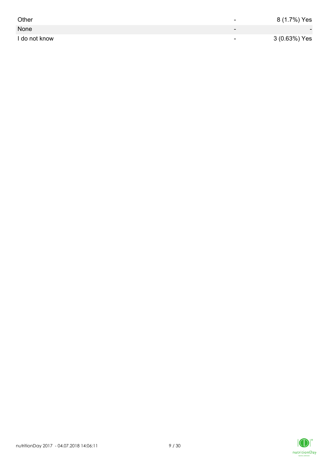| Other         | -                        | 8 (1.7%) Yes             |
|---------------|--------------------------|--------------------------|
| None          | $\overline{\phantom{0}}$ | $\overline{\phantom{0}}$ |
| I do not know | $\overline{\phantom{0}}$ | 3 (0.63%) Yes            |

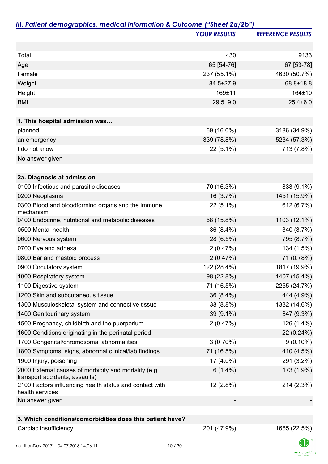|                                                                                         | <b>YOUR RESULTS</b> | <b>REFERENCE RESULTS</b> |
|-----------------------------------------------------------------------------------------|---------------------|--------------------------|
|                                                                                         |                     |                          |
| Total                                                                                   | 430                 | 9133                     |
| Age                                                                                     | 65 [54-76]          | 67 [53-78]               |
| Female                                                                                  | 237 (55.1%)         | 4630 (50.7%)             |
| Weight                                                                                  | 84.5±27.9           | 68.8±18.8                |
| Height                                                                                  | 169±11              | 164±10                   |
| <b>BMI</b>                                                                              | $29.5 + 9.0$        | $25.4 \pm 6.0$           |
|                                                                                         |                     |                          |
| 1. This hospital admission was                                                          |                     |                          |
| planned                                                                                 | 69 (16.0%)          | 3186 (34.9%)             |
| an emergency                                                                            | 339 (78.8%)         | 5234 (57.3%)             |
| I do not know                                                                           | $22(5.1\%)$         | 713 (7.8%)               |
| No answer given                                                                         |                     |                          |
| 2a. Diagnosis at admission                                                              |                     |                          |
| 0100 Infectious and parasitic diseases                                                  | 70 (16.3%)          | 833 (9.1%)               |
| 0200 Neoplasms                                                                          | 16 (3.7%)           | 1451 (15.9%)             |
| 0300 Blood and bloodforming organs and the immune                                       | 22 (5.1%)           | 612 (6.7%)               |
| mechanism                                                                               |                     |                          |
| 0400 Endocrine, nutritional and metabolic diseases                                      | 68 (15.8%)          | 1103 (12.1%)             |
| 0500 Mental health                                                                      | 36 (8.4%)           | 340 (3.7%)               |
| 0600 Nervous system                                                                     | 28 (6.5%)           | 795 (8.7%)               |
| 0700 Eye and adnexa                                                                     | 2(0.47%)            | 134 (1.5%)               |
| 0800 Ear and mastoid process                                                            | 2(0.47%)            | 71 (0.78%)               |
| 0900 Circulatory system                                                                 | 122 (28.4%)         | 1817 (19.9%)             |
| 1000 Respiratory system                                                                 | 98 (22.8%)          | 1407 (15.4%)             |
| 1100 Digestive system                                                                   | 71 (16.5%)          | 2255 (24.7%)             |
| 1200 Skin and subcutaneous tissue                                                       | 36 (8.4%)           | 444 (4.9%)               |
| 1300 Musculoskeletal system and connective tissue                                       | 38 (8.8%)           | 1332 (14.6%)             |
| 1400 Genitourinary system                                                               | 39 (9.1%)           | 847 (9.3%)               |
| 1500 Pregnancy, childbirth and the puerperium                                           | 2(0.47%)            | 126 (1.4%)               |
| 1600 Conditions originating in the perinatal period                                     |                     | 22 (0.24%)               |
| 1700 Congenital/chromosomal abnormalities                                               | $3(0.70\%)$         | $9(0.10\%)$              |
| 1800 Symptoms, signs, abnormal clinical/lab findings                                    | 71 (16.5%)          | 410 (4.5%)               |
| 1900 Injury, poisoning                                                                  | 17 (4.0%)           | 291 (3.2%)               |
| 2000 External causes of morbidity and mortality (e.g.<br>transport accidents, assaults) | $6(1.4\%)$          | 173 (1.9%)               |
| 2100 Factors influencing health status and contact with<br>health services              | 12 (2.8%)           | 214 (2.3%)               |
| No answer given                                                                         |                     |                          |
| 3. Which conditions/comorbidities does this patient have?                               |                     |                          |
| Cardiac insufficiency                                                                   | 201 (47.9%)         | 1665 (22.5%)             |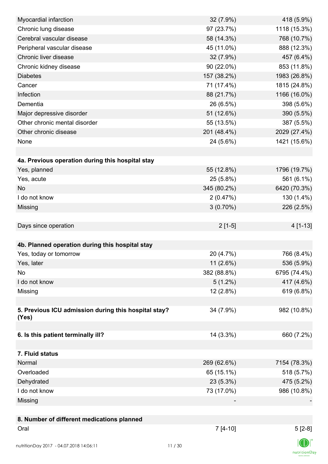| Myocardial infarction                                | 32 (7.9%)   | 418 (5.9%)   |
|------------------------------------------------------|-------------|--------------|
| Chronic lung disease                                 | 97 (23.7%)  | 1118 (15.3%) |
| Cerebral vascular disease                            | 58 (14.3%)  | 768 (10.7%)  |
| Peripheral vascular disease                          | 45 (11.0%)  | 888 (12.3%)  |
| Chronic liver disease                                | 32 (7.9%)   | 457 (6.4%)   |
| Chronic kidney disease                               | 90 (22.0%)  | 853 (11.8%)  |
| <b>Diabetes</b>                                      | 157 (38.2%) | 1983 (26.8%) |
| Cancer                                               | 71 (17.4%)  | 1815 (24.8%) |
| Infection                                            | 88 (21.7%)  | 1166 (16.0%) |
| Dementia                                             | 26 (6.5%)   | 398 (5.6%)   |
| Major depressive disorder                            | 51 (12.6%)  | 390 (5.5%)   |
| Other chronic mental disorder                        | 55 (13.5%)  | 387 (5.5%)   |
| Other chronic disease                                | 201 (48.4%) | 2029 (27.4%) |
| None                                                 | 24 (5.6%)   | 1421 (15.6%) |
|                                                      |             |              |
| 4a. Previous operation during this hospital stay     |             |              |
| Yes, planned                                         | 55 (12.8%)  | 1796 (19.7%) |
| Yes, acute                                           | 25 (5.8%)   | 561 (6.1%)   |
| <b>No</b>                                            | 345 (80.2%) | 6420 (70.3%) |
| I do not know                                        | 2(0.47%)    | 130 (1.4%)   |
| Missing                                              | $3(0.70\%)$ | 226 (2.5%)   |
|                                                      |             |              |
| Days since operation                                 | $2[1-5]$    | 4 [1-13]     |
|                                                      |             |              |
| 4b. Planned operation during this hospital stay      |             |              |
| Yes, today or tomorrow                               | 20 (4.7%)   | 766 (8.4%)   |
|                                                      |             |              |
| Yes, later                                           | $11(2.6\%)$ | 536 (5.9%)   |
| No                                                   | 382 (88.8%) | 6795 (74.4%) |
| I do not know                                        | $5(1.2\%)$  | 417 (4.6%)   |
| Missing                                              | 12 (2.8%)   | 619 (6.8%)   |
|                                                      |             |              |
| 5. Previous ICU admission during this hospital stay? | 34 (7.9%)   | 982 (10.8%)  |
| (Yes)                                                |             |              |
| 6. Is this patient terminally ill?                   | 14 (3.3%)   | 660 (7.2%)   |
|                                                      |             |              |
| 7. Fluid status                                      |             |              |
| Normal                                               | 269 (62.6%) | 7154 (78.3%) |
| Overloaded                                           | 65 (15.1%)  | 518 (5.7%)   |
| Dehydrated                                           | 23 (5.3%)   | 475 (5.2%)   |
| I do not know                                        | 73 (17.0%)  | 986 (10.8%)  |
| Missing                                              |             |              |
|                                                      |             |              |
|                                                      |             |              |
| 8. Number of different medications planned<br>Oral   | $7[4-10]$   |              |
|                                                      |             | $5[2-8]$     |
| nutritionDay 2017 - 04.07.2018 14:06:11              | 11/30       |              |

 $\textsf{nutritionDay}$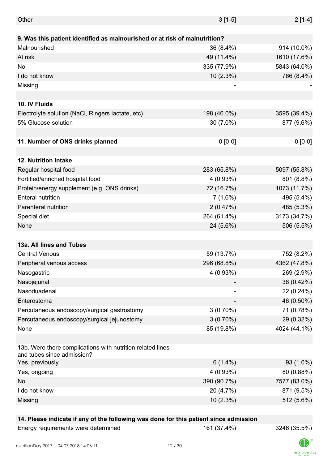| Other                                                                                    | $3[1-5]$    | $2[1-4]$     |
|------------------------------------------------------------------------------------------|-------------|--------------|
|                                                                                          |             |              |
| 9. Was this patient identified as malnourished or at risk of malnutrition?               |             |              |
| Malnourished                                                                             | 36 (8.4%)   | 914 (10.0%)  |
| At risk                                                                                  | 49 (11.4%)  | 1610 (17.6%) |
| No                                                                                       | 335 (77.9%) | 5843 (64.0%) |
| I do not know                                                                            | 10(2.3%)    | 766 (8.4%)   |
| Missing                                                                                  |             |              |
|                                                                                          |             |              |
| 10. IV Fluids                                                                            |             |              |
| Electrolyte solution (NaCl, Ringers lactate, etc)                                        | 198 (46.0%) | 3595 (39.4%) |
| 5% Glucose solution                                                                      | 30 (7.0%)   | 877 (9.6%)   |
|                                                                                          |             |              |
| 11. Number of ONS drinks planned                                                         | $0 [0-0]$   | $0 [0-0]$    |
|                                                                                          |             |              |
| 12. Nutrition intake                                                                     |             |              |
| Regular hospital food                                                                    | 283 (65.8%) | 5097 (55.8%) |
| Fortified/enriched hospital food                                                         | $4(0.93\%)$ | 801 (8.8%)   |
| Protein/energy supplement (e.g. ONS drinks)                                              | 72 (16.7%)  | 1073 (11.7%) |
| <b>Enteral nutrition</b>                                                                 | $7(1.6\%)$  | 495 (5.4%)   |
| Parenteral nutrition                                                                     | 2(0.47%)    | 485 (5.3%)   |
| Special diet                                                                             | 264 (61.4%) | 3173 (34.7%) |
| None                                                                                     | 24 (5.6%)   | 506 (5.5%)   |
|                                                                                          |             |              |
| 13a. All lines and Tubes                                                                 |             |              |
| <b>Central Venous</b>                                                                    | 59 (13.7%)  | 752 (8.2%)   |
| Peripheral venous access                                                                 | 296 (68.8%) | 4362 (47.8%) |
| Nasogastric                                                                              | 4(0.93%)    | 269 (2.9%)   |
| Nasojejunal                                                                              |             | 38 (0.42%)   |
| Nasoduadenal                                                                             |             | 22 (0.24%)   |
| Enterostoma                                                                              |             | 46 (0.50%)   |
| Percutaneous endoscopy/surgical gastrostomy                                              | $3(0.70\%)$ | 71 (0.78%)   |
| Percutaneous endoscopy/surgical jejunostomy                                              | $3(0.70\%)$ | 29 (0.32%)   |
| None                                                                                     | 85 (19.8%)  | 4024 (44.1%) |
|                                                                                          |             |              |
| 13b. Were there complications with nutrition related lines<br>and tubes since admission? |             |              |
| Yes, previously                                                                          | $6(1.4\%)$  | 93 (1.0%)    |
| Yes, ongoing                                                                             | 4(0.93%)    | 80 (0.88%)   |
| No                                                                                       | 390 (90.7%) | 7577 (83.0%) |
| I do not know                                                                            | 20 (4.7%)   | 871 (9.5%)   |
| Missing                                                                                  | 10(2.3%)    | 512 (5.6%)   |
|                                                                                          |             |              |

#### **14. Please indicate if any of the following was done for this patient since admission**

Energy requirements were determined 161 (37.4%) 3246 (35.5%)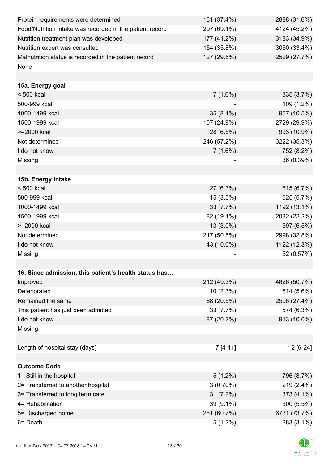| Protein requirements were determined                     | 161 (37.4%) | 2888 (31.6%) |
|----------------------------------------------------------|-------------|--------------|
| Food/Nutrition intake was recorded in the patient record | 297 (69.1%) | 4124 (45.2%) |
| Nutrition treatment plan was developed                   | 177 (41.2%) | 3183 (34.9%) |
| Nutrition expert was consulted                           | 154 (35.8%) | 3050 (33.4%) |
| Malnutrition status is recorded in the patient record    | 127 (29.5%) | 2529 (27.7%) |
| None                                                     |             |              |
|                                                          |             |              |
| 15a. Energy goal                                         |             |              |
| < 500 kcal                                               | 7(1.6%)     | 335 (3.7%)   |
| 500-999 kcal                                             |             | 109 (1.2%)   |
| 1000-1499 kcal                                           | $35(8.1\%)$ | 957 (10.5%)  |
| 1500-1999 kcal                                           | 107 (24.9%) | 2729 (29.9%) |
| >=2000 kcal                                              | 28 (6.5%)   | 993 (10.9%)  |
| Not determined                                           | 246 (57.2%) | 3222 (35.3%) |
| I do not know                                            | 7(1.6%)     | 752 (8.2%)   |
| Missing                                                  |             | 36 (0.39%)   |
|                                                          |             |              |
| 15b. Energy intake                                       |             |              |
| $< 500$ kcal                                             | 27 (6.3%)   | 615 (6.7%)   |
| 500-999 kcal                                             | $15(3.5\%)$ | 525 (5.7%)   |
| 1000-1499 kcal                                           | 33 (7.7%)   | 1192 (13.1%) |
| 1500-1999 kcal                                           | 82 (19.1%)  | 2032 (22.2%) |
| >=2000 kcal                                              | 13 (3.0%)   | 597 (6.5%)   |
| Not determined                                           | 217 (50.5%) | 2998 (32.8%) |
| I do not know                                            | 43 (10.0%)  | 1122 (12.3%) |
| Missing                                                  |             | 52 (0.57%)   |
|                                                          |             |              |
| 16. Since admission, this patient's health status has    |             |              |
| Improved                                                 | 212 (49.3%) | 4626 (50.7%) |
| Deteriorated                                             | $10(2.3\%)$ | 514 (5.6%)   |
| Remained the same                                        | 88 (20.5%)  | 2506 (27.4%) |
| This patient has just been admitted                      | 33 (7.7%)   | 574 (6.3%)   |
| I do not know                                            | 87 (20.2%)  | 913 (10.0%)  |
| Missing                                                  |             |              |
|                                                          |             |              |
| Length of hospital stay (days)                           | $7[4-11]$   | 12 [6-24]    |
|                                                          |             |              |
| <b>Outcome Code</b>                                      |             |              |
| 1= Still in the hospital                                 | $5(1.2\%)$  | 796 (8.7%)   |
| 2= Transferred to another hospital                       | $3(0.70\%)$ | 219 (2.4%)   |
| 3= Transferred to long term care                         | 31(7.2%)    | 373 (4.1%)   |
| 4= Rehabilitation                                        | 39 (9.1%)   | 500 (5.5%)   |
| 5= Discharged home                                       | 261 (60.7%) | 6731 (73.7%) |
| 6= Death                                                 | $5(1.2\%)$  | 283 (3.1%)   |

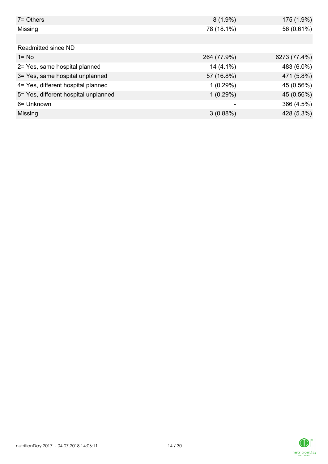| $7 =$ Others                         | $8(1.9\%)$  | 175 (1.9%)   |
|--------------------------------------|-------------|--------------|
| Missing                              | 78 (18.1%)  | 56 (0.61%)   |
|                                      |             |              |
| Readmitted since ND                  |             |              |
| $1 = No$                             | 264 (77.9%) | 6273 (77.4%) |
| 2= Yes, same hospital planned        | $14(4.1\%)$ | 483 (6.0%)   |
| 3= Yes, same hospital unplanned      | 57 (16.8%)  | 471 (5.8%)   |
| 4= Yes, different hospital planned   | 1(0.29%)    | 45 (0.56%)   |
| 5= Yes, different hospital unplanned | 1(0.29%)    | 45 (0.56%)   |
| 6= Unknown                           |             | 366 (4.5%)   |
| Missing                              | 3(0.88%)    | 428 (5.3%)   |

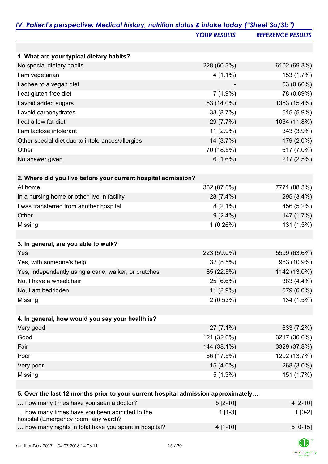|                                                                                      | <b>YOUR RESULTS</b> | <b>REFERENCE RESULTS</b> |
|--------------------------------------------------------------------------------------|---------------------|--------------------------|
|                                                                                      |                     |                          |
| 1. What are your typical dietary habits?                                             |                     |                          |
| No special dietary habits                                                            | 228 (60.3%)         | 6102 (69.3%)             |
| I am vegetarian                                                                      | $4(1.1\%)$          | 153 (1.7%)               |
| I adhee to a vegan diet                                                              |                     | 53 (0.60%)               |
| I eat gluten-free diet                                                               | $7(1.9\%)$          | 78 (0.89%)               |
| I avoid added sugars                                                                 | 53 (14.0%)          | 1353 (15.4%)             |
| I avoid carbohydrates                                                                | 33 (8.7%)           | 515 (5.9%)               |
| I eat a low fat-diet                                                                 | 29 (7.7%)           | 1034 (11.8%)             |
| I am lactose intolerant                                                              | 11 (2.9%)           | 343 (3.9%)               |
| Other special diet due to intolerances/allergies                                     | 14 (3.7%)           | 179 (2.0%)               |
| Other                                                                                | 70 (18.5%)          | 617 (7.0%)               |
| No answer given                                                                      | 6(1.6%)             | 217 (2.5%)               |
|                                                                                      |                     |                          |
| 2. Where did you live before your current hospital admission?                        |                     |                          |
| At home                                                                              | 332 (87.8%)         | 7771 (88.3%)             |
| In a nursing home or other live-in facility                                          | 28 (7.4%)           | 295 (3.4%)               |
| I was transferred from another hospital                                              | $8(2.1\%)$          | 456 (5.2%)               |
| Other                                                                                | $9(2.4\%)$          | 147 (1.7%)               |
| Missing                                                                              | 1(0.26%)            | 131 (1.5%)               |
| 3. In general, are you able to walk?                                                 |                     |                          |
| Yes                                                                                  | 223 (59.0%)         | 5599 (63.6%)             |
| Yes, with someone's help                                                             | 32 (8.5%)           | 963 (10.9%)              |
| Yes, independently using a cane, walker, or crutches                                 | 85 (22.5%)          | 1142 (13.0%)             |
| No, I have a wheelchair                                                              | 25 (6.6%)           | 383 (4.4%)               |
| No, I am bedridden                                                                   | 11 (2.9%)           | 579 (6.6%)               |
| Missing                                                                              | 2(0.53%)            | 134 (1.5%)               |
|                                                                                      |                     |                          |
| 4. In general, how would you say your health is?                                     |                     |                          |
| Very good                                                                            | $27(7.1\%)$         | 633 (7.2%)               |
| Good                                                                                 | 121 (32.0%)         | 3217 (36.6%)             |
| Fair                                                                                 | 144 (38.1%)         | 3329 (37.8%)             |
| Poor                                                                                 | 66 (17.5%)          | 1202 (13.7%)             |
| Very poor                                                                            | 15 (4.0%)           | 268 (3.0%)               |
| Missing                                                                              | $5(1.3\%)$          | 151 (1.7%)               |
| 5. Over the last 12 months prior to your current hospital admission approximately    |                     |                          |
| how many times have you seen a doctor?                                               | $5[2-10]$           | $4$ [2-10]               |
| how many times have you been admitted to the<br>hospital (Emergency room, any ward)? | $1[1-3]$            | $1[0-2]$                 |

| 100                                                  |            |           |
|------------------------------------------------------|------------|-----------|
| how many nights in total have you spent in hospital? | $4$ [1-10] | $5[0-15]$ |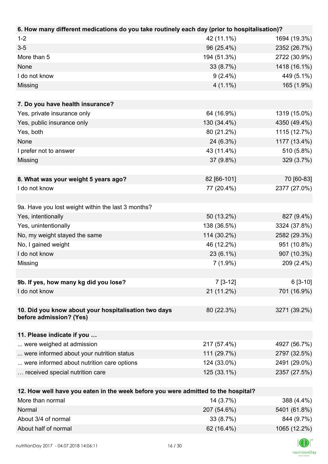| 6. How many different medications do you take routinely each day (prior to hospitalisation)? |             |              |
|----------------------------------------------------------------------------------------------|-------------|--------------|
| $1 - 2$                                                                                      | 42 (11.1%)  | 1694 (19.3%) |
| $3 - 5$                                                                                      | 96 (25.4%)  | 2352 (26.7%) |
| More than 5                                                                                  | 194 (51.3%) | 2722 (30.9%) |
| None                                                                                         | 33 (8.7%)   | 1418 (16.1%) |
| I do not know                                                                                | $9(2.4\%)$  | 449 (5.1%)   |
| Missing                                                                                      | $4(1.1\%)$  | 165 (1.9%)   |
|                                                                                              |             |              |
| 7. Do you have health insurance?                                                             |             |              |
| Yes, private insurance only                                                                  | 64 (16.9%)  | 1319 (15.0%) |
| Yes, public insurance only                                                                   | 130 (34.4%) | 4350 (49.4%) |
| Yes, both                                                                                    | 80 (21.2%)  | 1115 (12.7%) |
| None                                                                                         | 24 (6.3%)   | 1177 (13.4%) |
| I prefer not to answer                                                                       | 43 (11.4%)  | 510 (5.8%)   |
| Missing                                                                                      | 37 (9.8%)   | 329 (3.7%)   |
|                                                                                              |             |              |
| 8. What was your weight 5 years ago?                                                         | 82 [66-101] | 70 [60-83]   |
| I do not know                                                                                | 77 (20.4%)  | 2377 (27.0%) |
|                                                                                              |             |              |
| 9a. Have you lost weight within the last 3 months?                                           |             |              |
| Yes, intentionally                                                                           | 50 (13.2%)  | 827 (9.4%)   |
| Yes, unintentionally                                                                         | 138 (36.5%) | 3324 (37.8%) |
| No, my weight stayed the same                                                                | 114 (30.2%) | 2582 (29.3%) |
| No, I gained weight                                                                          | 46 (12.2%)  | 951 (10.8%)  |
| I do not know                                                                                | $23(6.1\%)$ | 907 (10.3%)  |
| Missing                                                                                      | $7(1.9\%)$  | 209 (2.4%)   |
|                                                                                              |             |              |
| 9b. If yes, how many kg did you lose?                                                        | $7[3-12]$   | $6[3-10]$    |
| I do not know                                                                                | 21 (11.2%)  | 701 (16.9%)  |
|                                                                                              |             |              |
| 10. Did you know about your hospitalisation two days                                         | 80 (22.3%)  | 3271 (39.2%) |
| before admission? (Yes)                                                                      |             |              |
|                                                                                              |             |              |
| 11. Please indicate if you                                                                   |             |              |
| were weighed at admission                                                                    | 217 (57.4%) | 4927 (56.7%) |
| were informed about your nutrition status                                                    | 111 (29.7%) | 2797 (32.5%) |
| were informed about nutrition care options                                                   | 124 (33.0%) | 2491 (29.0%) |
| received special nutrition care                                                              | 125 (33.1%) | 2357 (27.5%) |
|                                                                                              |             |              |
| 12. How well have you eaten in the week before you were admitted to the hospital?            |             |              |
| More than normal                                                                             | 14 (3.7%)   | 388 (4.4%)   |
| Normal                                                                                       | 207 (54.6%) | 5401 (61.8%) |

About 3/4 of normal 3/4 of normal 33 (8.7%) 33 (8.7%) About half of normal 1065 (12.2%)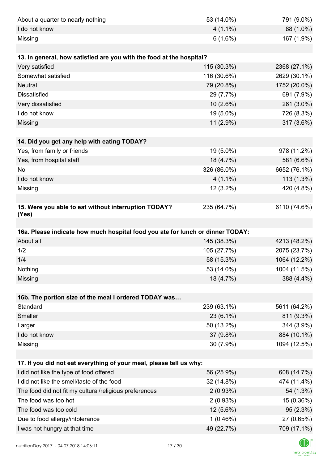| About a quarter to nearly nothing                                              | 53 (14.0%)                | 791 (9.0%)                                                                                                                                        |
|--------------------------------------------------------------------------------|---------------------------|---------------------------------------------------------------------------------------------------------------------------------------------------|
| I do not know                                                                  | $4(1.1\%)$                | 88 (1.0%)                                                                                                                                         |
| Missing                                                                        | 6(1.6%)                   | 167 (1.9%)                                                                                                                                        |
|                                                                                |                           |                                                                                                                                                   |
| 13. In general, how satisfied are you with the food at the hospital?           |                           |                                                                                                                                                   |
| Very satisfied                                                                 | 115 (30.3%)               | 2368 (27.1%)                                                                                                                                      |
| Somewhat satisfied                                                             | 116 (30.6%)               | 2629 (30.1%)                                                                                                                                      |
| <b>Neutral</b>                                                                 | 79 (20.8%)                | 1752 (20.0%)                                                                                                                                      |
| <b>Dissatisfied</b>                                                            | 29 (7.7%)                 | 691 (7.9%)                                                                                                                                        |
| Very dissatisfied                                                              | $10(2.6\%)$               | 261 (3.0%)                                                                                                                                        |
| I do not know                                                                  | 19 (5.0%)                 | 726 (8.3%)                                                                                                                                        |
| Missing                                                                        | 11 (2.9%)                 | 317 (3.6%)                                                                                                                                        |
|                                                                                |                           |                                                                                                                                                   |
| 14. Did you get any help with eating TODAY?                                    |                           |                                                                                                                                                   |
| Yes, from family or friends                                                    | 19 (5.0%)                 | 978 (11.2%)                                                                                                                                       |
| Yes, from hospital staff                                                       | 18 (4.7%)                 | 581 (6.6%)                                                                                                                                        |
| No                                                                             | 326 (86.0%)               | 6652 (76.1%)                                                                                                                                      |
| I do not know                                                                  | $4(1.1\%)$                | $113(1.3\%)$                                                                                                                                      |
| Missing                                                                        | $12(3.2\%)$               | 420 (4.8%)                                                                                                                                        |
|                                                                                |                           |                                                                                                                                                   |
| 15. Were you able to eat without interruption TODAY?<br>(Yes)                  | 235 (64.7%)               | 6110 (74.6%)                                                                                                                                      |
|                                                                                |                           |                                                                                                                                                   |
|                                                                                |                           |                                                                                                                                                   |
| 16a. Please indicate how much hospital food you ate for lunch or dinner TODAY: |                           |                                                                                                                                                   |
| About all                                                                      | 145 (38.3%)               |                                                                                                                                                   |
| 1/2                                                                            | 105 (27.7%)               |                                                                                                                                                   |
| 1/4                                                                            | 58 (15.3%)                | 1064 (12.2%)                                                                                                                                      |
| Nothing                                                                        | 53 (14.0%)                |                                                                                                                                                   |
| Missing                                                                        | 18 (4.7%)                 |                                                                                                                                                   |
|                                                                                |                           |                                                                                                                                                   |
| 16b. The portion size of the meal I ordered TODAY was                          |                           |                                                                                                                                                   |
| Standard                                                                       | 239 (63.1%)               |                                                                                                                                                   |
| Smaller                                                                        | $23(6.1\%)$               | 811 (9.3%)                                                                                                                                        |
| Larger                                                                         | 50 (13.2%)                |                                                                                                                                                   |
| I do not know                                                                  | 37 (9.8%)                 | 884 (10.1%)                                                                                                                                       |
| Missing                                                                        | 30 (7.9%)                 | 1094 (12.5%)                                                                                                                                      |
|                                                                                |                           |                                                                                                                                                   |
| 17. If you did not eat everything of your meal, please tell us why:            |                           |                                                                                                                                                   |
| I did not like the type of food offered                                        | 56 (25.9%)                |                                                                                                                                                   |
| I did not like the smell/taste of the food                                     | 32 (14.8%)                | 474 (11.4%)                                                                                                                                       |
| The food did not fit my cultural/religious preferences                         | $2(0.93\%)$               |                                                                                                                                                   |
| The food was too hot                                                           | $2(0.93\%)$               | 15 (0.36%)                                                                                                                                        |
| The food was too cold                                                          | 12 (5.6%)                 | 95(2.3%)                                                                                                                                          |
| Due to food allergy/intolerance<br>I was not hungry at that time               | $1(0.46\%)$<br>49 (22.7%) | 4213 (48.2%)<br>2075 (23.7%)<br>1004 (11.5%)<br>388 (4.4%)<br>5611 (64.2%)<br>344 (3.9%)<br>608 (14.7%)<br>54 (1.3%)<br>27 (0.65%)<br>709 (17.1%) |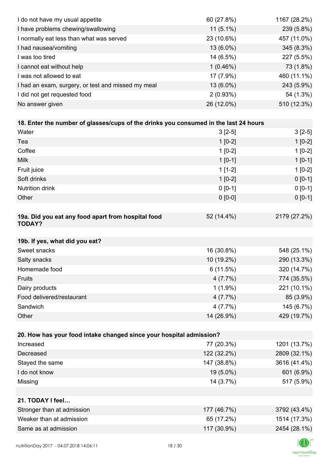| I do not have my usual appetite                                                      | 60 (27.8%)  | 1167 (28.2%) |
|--------------------------------------------------------------------------------------|-------------|--------------|
| I have problems chewing/swallowing                                                   | $11(5.1\%)$ | 239 (5.8%)   |
| I normally eat less than what was served                                             | 23 (10.6%)  | 457 (11.0%)  |
| I had nausea/vomiting                                                                | 13 (6.0%)   | 345 (8.3%)   |
| I was too tired                                                                      | 14 (6.5%)   | 227 (5.5%)   |
| I cannot eat without help                                                            | $1(0.46\%)$ | 73 (1.8%)    |
| I was not allowed to eat                                                             | 17 (7.9%)   | 460 (11.1%)  |
| I had an exam, surgery, or test and missed my meal                                   | 13 (6.0%)   | 243 (5.9%)   |
| I did not get requested food                                                         | 2(0.93%)    | 54 (1.3%)    |
| No answer given                                                                      | 26 (12.0%)  | 510 (12.3%)  |
|                                                                                      |             |              |
| 18. Enter the number of glasses/cups of the drinks you consumed in the last 24 hours |             |              |
| Water                                                                                | $3[2-5]$    | $3[2-5]$     |
| Tea                                                                                  | $1[0-2]$    | $1[0-2]$     |
| Coffee                                                                               | $1[0-2]$    | $1[0-2]$     |
| <b>Milk</b>                                                                          | $1 [0-1]$   | $1[0-1]$     |
| Fruit juice                                                                          | $1[1-2]$    | $1[0-2]$     |
| Soft drinks                                                                          | $1[0-2]$    | $0[0-1]$     |
| <b>Nutrition drink</b>                                                               | $0 [0-1]$   | $0 [0-1]$    |
| Other                                                                                | $0 [0-0]$   | $0 [0-1]$    |
|                                                                                      |             |              |
| 19a. Did you eat any food apart from hospital food<br><b>TODAY?</b>                  | 52 (14.4%)  | 2179 (27.2%) |
| 19b. If yes, what did you eat?                                                       |             |              |
| Sweet snacks                                                                         | 16 (30.8%)  | 548 (25.1%)  |
| Salty snacks                                                                         | 10 (19.2%)  | 290 (13.3%)  |
| Homemade food                                                                        | 6(11.5%)    | 320 (14.7%)  |
| Fruits                                                                               | 4(7.7%)     | 774 (35.5%)  |
| Dairy products                                                                       | $1(1.9\%)$  | 221 (10.1%)  |
| Food delivered/restaurant                                                            | 4(7.7%)     | 85 (3.9%)    |
| Sandwich                                                                             | 4(7.7%)     | 145 (6.7%)   |
| Other                                                                                | 14 (26.9%)  | 429 (19.7%)  |
|                                                                                      |             |              |
| 20. How has your food intake changed since your hospital admission?                  |             |              |
| Increased                                                                            | 77 (20.3%)  | 1201 (13.7%) |
| Decreased                                                                            | 122 (32.2%) | 2809 (32.1%) |
| Stayed the same                                                                      | 147 (38.8%) | 3616 (41.4%) |
| I do not know                                                                        | 19 (5.0%)   | 601 (6.9%)   |
| Missing                                                                              | 14 (3.7%)   | 517 (5.9%)   |
|                                                                                      |             |              |
| 21. TODAY I feel                                                                     |             |              |
| Stronger than at admission                                                           | 177 (46.7%) | 3792 (43.4%) |
| Weaker than at admission                                                             | 65 (17.2%)  | 1514 (17.3%) |
| Same as at admission                                                                 | 117 (30.9%) | 2454 (28.1%) |
|                                                                                      |             |              |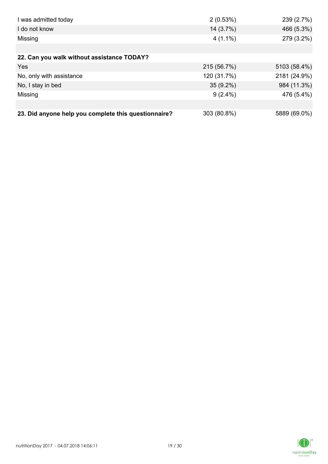| I was admitted today                                 | 2(0.53%)    | 239 (2.7%)   |
|------------------------------------------------------|-------------|--------------|
| I do not know                                        | 14 (3.7%)   | 466 (5.3%)   |
| Missing                                              | $4(1.1\%)$  | 279 (3.2%)   |
|                                                      |             |              |
| 22. Can you walk without assistance TODAY?           |             |              |
| Yes                                                  | 215 (56.7%) | 5103 (58.4%) |
| No, only with assistance                             | 120 (31.7%) | 2181 (24.9%) |
| No, I stay in bed                                    | $35(9.2\%)$ | 984 (11.3%)  |
| Missing                                              | $9(2.4\%)$  | 476 (5.4%)   |
|                                                      |             |              |
| 23. Did anyone help you complete this questionnaire? | 303 (80.8%) | 5889 (69.0%) |

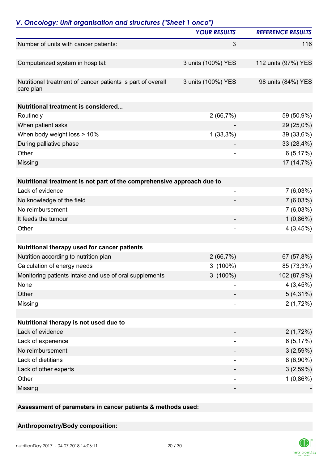|                                                                          | <b>YOUR RESULTS</b>      | <b>REFERENCE RESULTS</b> |
|--------------------------------------------------------------------------|--------------------------|--------------------------|
| Number of units with cancer patients:                                    | 3                        | 116                      |
| Computerized system in hospital:                                         | 3 units (100%) YES       | 112 units (97%) YES      |
| Nutritional treatment of cancer patients is part of overall<br>care plan | 3 units (100%) YES       | 98 units (84%) YES       |
| <b>Nutritional treatment is considered</b>                               |                          |                          |
| Routinely                                                                | 2(66,7%)                 | 59 (50,9%)               |
| When patient asks                                                        |                          | 29 (25,0%)               |
| When body weight loss > 10%                                              | $1(33,3\%)$              | 39 (33,6%)               |
| During palliative phase                                                  |                          | 33 (28,4%)               |
| Other                                                                    | $\overline{\phantom{a}}$ | 6(5,17%)                 |
| Missing                                                                  |                          | 17 (14,7%)               |
| Nutritional treatment is not part of the comprehensive approach due to   |                          |                          |
| Lack of evidence                                                         | -                        | $7(6,03\%)$              |
| No knowledge of the field                                                |                          | $7(6,03\%)$              |
| No reimbursement                                                         | $\overline{\phantom{a}}$ | $7(6,03\%)$              |
| It feeds the tumour                                                      |                          | $1(0,86\%)$              |
| Other                                                                    | ٠                        | 4(3,45%)                 |
|                                                                          |                          |                          |
| Nutritional therapy used for cancer patients                             |                          |                          |
| Nutrition according to nutrition plan                                    | 2(66,7%)                 | 67 (57,8%)               |
| Calculation of energy needs                                              | $3(100\%)$               | 85 (73,3%)               |
| Monitoring patients intake and use of oral supplements                   | $3(100\%)$               | 102 (87,9%)              |
| None                                                                     |                          | 4(3,45%)                 |
| Other                                                                    |                          | $5(4,31\%)$              |
| Missing                                                                  |                          | 2(1,72%)                 |
| Nutritional therapy is not used due to                                   |                          |                          |
| Lack of evidence                                                         |                          | 2(1,72%)                 |
| Lack of experience                                                       | -                        | 6(5,17%)                 |
| No reimbursement                                                         |                          | 3(2,59%)                 |
| Lack of dietitians                                                       |                          | $8(6,90\%)$              |
| Lack of other experts                                                    |                          | 3(2,59%)                 |
| Other                                                                    |                          | $1(0,86\%)$              |
| Missing                                                                  |                          |                          |
|                                                                          |                          |                          |

**Assessment of parameters in cancer patients & methods used:**

### **Anthropometry/Body composition:**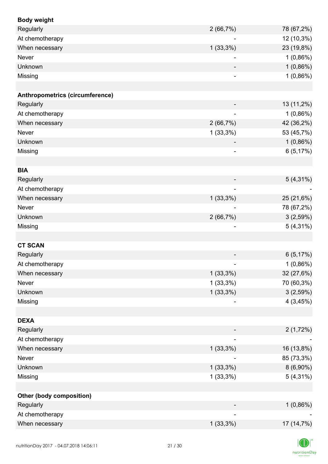| <b>Body weight</b>              |                          |             |
|---------------------------------|--------------------------|-------------|
| Regularly                       | 2(66,7%)                 | 78 (67,2%)  |
| At chemotherapy                 | $\overline{\phantom{a}}$ | 12 (10,3%)  |
| When necessary                  | $1(33,3\%)$              | 23 (19,8%)  |
| <b>Never</b>                    |                          | $1(0,86\%)$ |
| Unknown                         |                          | 1(0,86%)    |
| Missing                         |                          | 1(0,86%)    |
|                                 |                          |             |
| Anthropometrics (circumference) |                          |             |
| Regularly                       |                          | 13 (11,2%)  |
| At chemotherapy                 |                          | $1(0,86\%)$ |
| When necessary                  | 2(66,7%)                 | 42 (36,2%)  |
| Never                           | $1(33,3\%)$              | 53 (45,7%)  |
| Unknown                         |                          | 1(0,86%)    |
| Missing                         | $\overline{\phantom{a}}$ | 6(5,17%)    |
|                                 |                          |             |
| <b>BIA</b>                      |                          |             |
| Regularly                       |                          | $5(4,31\%)$ |
| At chemotherapy                 |                          |             |
| When necessary                  | $1(33,3\%)$              | 25 (21,6%)  |
| Never                           |                          | 78 (67,2%)  |
| Unknown                         | 2(66,7%)                 | 3(2,59%)    |
| Missing                         |                          | $5(4,31\%)$ |
|                                 |                          |             |
| <b>CT SCAN</b>                  |                          |             |
| Regularly                       |                          | 6(5,17%)    |
| At chemotherapy                 |                          | $1(0,86\%)$ |
| When necessary                  | $1(33,3\%)$              | 32 (27,6%)  |
| Never                           | $1(33,3\%)$              | 70 (60,3%)  |
| Unknown                         | $1(33,3\%)$              | 3(2,59%)    |
| Missing                         |                          | 4(3,45%)    |
|                                 |                          |             |
| <b>DEXA</b>                     |                          |             |
| Regularly                       |                          | 2(1,72%)    |
| At chemotherapy                 | ۰                        |             |
| When necessary                  | $1(33,3\%)$              | 16 (13,8%)  |
| Never                           |                          | 85 (73,3%)  |
| Unknown                         | $1(33,3\%)$              | $8(6,90\%)$ |
| Missing                         | $1(33,3\%)$              | $5(4,31\%)$ |
|                                 |                          |             |
| <b>Other (body composition)</b> |                          |             |
| Regularly                       |                          | $1(0,86\%)$ |
| At chemotherapy                 |                          |             |
| When necessary                  | $1(33,3\%)$              | 17 (14,7%)  |
|                                 |                          |             |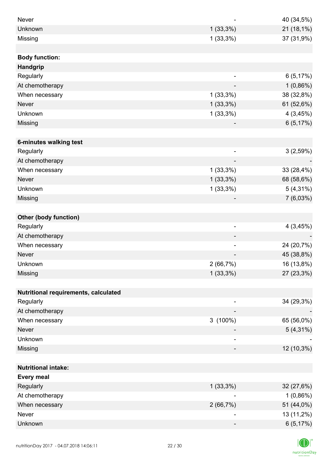| <b>Never</b>                         |                          | 40 (34,5%)  |
|--------------------------------------|--------------------------|-------------|
| Unknown                              | $1(33,3\%)$              | 21 (18,1%)  |
| Missing                              | $1(33,3\%)$              | 37 (31,9%)  |
|                                      |                          |             |
| <b>Body function:</b>                |                          |             |
| <b>Handgrip</b>                      |                          |             |
| Regularly                            | $\overline{a}$           | 6(5,17%)    |
| At chemotherapy                      |                          | $1(0,86\%)$ |
| When necessary                       | $1(33,3\%)$              | 38 (32,8%)  |
| <b>Never</b>                         | $1(33,3\%)$              | 61 (52,6%)  |
| Unknown                              | $1(33,3\%)$              | 4(3,45%)    |
| Missing                              |                          | 6(5,17%)    |
|                                      |                          |             |
| 6-minutes walking test               |                          |             |
| Regularly                            | $\overline{\phantom{a}}$ | 3(2,59%)    |
| At chemotherapy                      | $\overline{\phantom{m}}$ |             |
| When necessary                       | $1(33,3\%)$              | 33 (28,4%)  |
| <b>Never</b>                         | $1(33,3\%)$              | 68 (58,6%)  |
| Unknown                              | $1(33,3\%)$              | $5(4,31\%)$ |
| Missing                              |                          | 7(6,03%)    |
|                                      |                          |             |
| <b>Other (body function)</b>         |                          |             |
| Regularly                            | $\overline{\phantom{a}}$ | 4(3,45%)    |
| At chemotherapy                      |                          |             |
| When necessary                       |                          | 24 (20,7%)  |
| <b>Never</b>                         |                          | 45 (38,8%)  |
| Unknown                              | 2(66,7%)                 | 16 (13,8%)  |
| Missing                              | $1(33,3\%)$              | 27 (23,3%)  |
|                                      |                          |             |
| Nutritional requirements, calculated |                          |             |
| Regularly                            |                          | 34 (29,3%)  |
| At chemotherapy                      |                          |             |
| When necessary                       | $3(100\%)$               | 65 (56,0%)  |
| <b>Never</b>                         |                          | $5(4,31\%)$ |
| Unknown                              |                          |             |
| Missing                              | ۰                        | 12 (10,3%)  |
|                                      |                          |             |
| <b>Nutritional intake:</b>           |                          |             |
| <b>Every meal</b>                    |                          |             |
| Regularly                            | $1(33,3\%)$              | 32 (27,6%)  |
| At chemotherapy                      |                          | $1(0,86\%)$ |
| When necessary                       | 2(66,7%)                 | 51 (44,0%)  |
| Never                                | -                        | 13 (11,2%)  |
| Unknown                              |                          | 6(5,17%)    |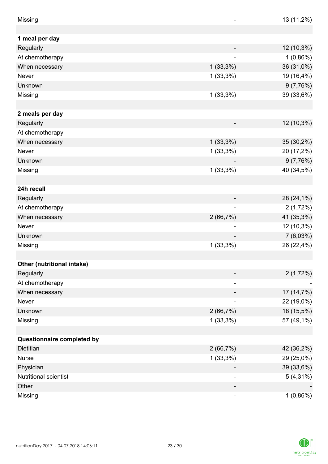| Missing                    |                          | 13 (11,2%)  |
|----------------------------|--------------------------|-------------|
|                            |                          |             |
| 1 meal per day             |                          |             |
| Regularly                  |                          | 12 (10,3%)  |
| At chemotherapy            |                          | 1(0,86%)    |
| When necessary             | $1(33,3\%)$              | 36 (31,0%)  |
| Never                      | $1(33,3\%)$              | 19 (16,4%)  |
| Unknown                    |                          | 9(7,76%)    |
| Missing                    | $1(33,3\%)$              | 39 (33,6%)  |
|                            |                          |             |
| 2 meals per day            |                          |             |
| Regularly                  |                          | 12 (10,3%)  |
| At chemotherapy            |                          |             |
| When necessary             | $1(33,3\%)$              | 35 (30,2%)  |
| Never                      | $1(33,3\%)$              | 20 (17,2%)  |
| Unknown                    |                          | 9(7,76%)    |
| Missing                    | $1(33,3\%)$              | 40 (34,5%)  |
|                            |                          |             |
| 24h recall                 |                          |             |
| Regularly                  |                          | 28 (24,1%)  |
| At chemotherapy            |                          | 2(1,72%)    |
| When necessary             | 2(66,7%)                 | 41 (35,3%)  |
| Never                      | $\overline{\phantom{a}}$ | 12 (10,3%)  |
| Unknown                    |                          | 7(6,03%)    |
| Missing                    | $1(33,3\%)$              | 26 (22,4%)  |
|                            |                          |             |
| Other (nutritional intake) |                          |             |
| Regularly                  |                          | 2(1,72%)    |
| At chemotherapy            | $\overline{\phantom{a}}$ |             |
| When necessary             |                          | 17 (14,7%)  |
| Never                      |                          | 22 (19,0%)  |
| Unknown                    | 2(66,7%)                 | 18 (15,5%)  |
| Missing                    | $1(33,3\%)$              | 57 (49,1%)  |
|                            |                          |             |
| Questionnaire completed by |                          |             |
| Dietitian                  | 2(66,7%)                 | 42 (36,2%)  |
| <b>Nurse</b>               | $1(33,3\%)$              | 29 (25,0%)  |
| Physician                  |                          | 39 (33,6%)  |
| Nutritional scientist      |                          | $5(4,31\%)$ |
| Other                      |                          |             |
| Missing                    | ۰                        | 1(0,86%)    |

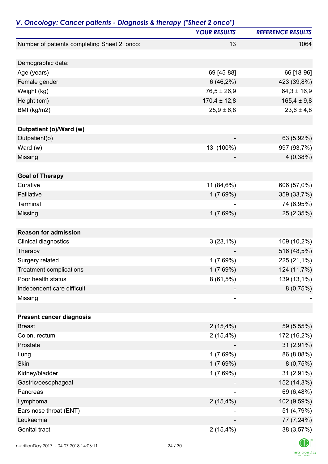| V. Oncology: Cancer patients - Diagnosis & therapy ("Sheet 2 onco") |                     |                          |
|---------------------------------------------------------------------|---------------------|--------------------------|
|                                                                     | <b>YOUR RESULTS</b> | <b>REFERENCE RESULTS</b> |
| Number of patients completing Sheet 2_onco:                         | 13                  | 1064                     |
| Demographic data:                                                   |                     |                          |
| Age (years)                                                         | 69 [45-88]          | 66 [18-96]               |
| Female gender                                                       | 6(46,2%)            | 423 (39,8%)              |
| Weight (kg)                                                         | $76,5 \pm 26,9$     | $64,3 \pm 16,9$          |
| Height (cm)                                                         | $170,4 \pm 12,8$    | $165,4 \pm 9,8$          |
| BMI (kg/m2)                                                         | $25,9 \pm 6,8$      | $23,6 \pm 4,8$           |
|                                                                     |                     |                          |
| Outpatient (o)/Ward (w)                                             |                     |                          |
| Outpatient(o)                                                       |                     | 63 (5,92%)               |
| Ward $(w)$                                                          | 13 (100%)           | 997 (93,7%)              |
| Missing                                                             |                     | 4(0,38%)                 |
|                                                                     |                     |                          |
| <b>Goal of Therapy</b>                                              |                     |                          |
| Curative                                                            | 11 (84,6%)          | 606 (57,0%)              |
| Palliative                                                          | 1(7,69%)            | 359 (33,7%)              |
| Terminal                                                            |                     | 74 (6,95%)               |
| Missing                                                             | 1(7,69%)            | 25 (2,35%)               |
| <b>Reason for admission</b>                                         |                     |                          |
| <b>Clinical diagnostics</b>                                         | $3(23,1\%)$         | 109 (10,2%)              |
| Therapy                                                             |                     | 516 (48,5%)              |
| Surgery related                                                     | 1(7,69%)            | 225 (21,1%)              |
| <b>Treatment complications</b>                                      | 1(7,69%)            | 124 (11,7%)              |
| Poor health status                                                  | $8(61,5\%)$         | 139 (13,1%)              |
| Independent care difficult                                          |                     | 8(0,75%)                 |
| Missing                                                             |                     |                          |
|                                                                     |                     |                          |
| <b>Present cancer diagnosis</b>                                     |                     |                          |
| <b>Breast</b>                                                       | 2(15,4%)            | 59 (5,55%)               |
| Colon, rectum                                                       | $2(15,4\%)$         | 172 (16,2%)              |
| Prostate                                                            |                     | $31(2,91\%)$             |
| Lung                                                                | 1(7,69%)            | 86 (8,08%)               |
| Skin                                                                | 1(7,69%)            | 8(0,75%)                 |
| Kidney/bladder                                                      | 1(7,69%)            | 31 (2,91%)               |
| Gastric/oesophageal                                                 |                     | 152 (14,3%)              |
| Pancreas                                                            |                     | 69 (6,48%)               |
| Lymphoma                                                            | $2(15,4\%)$         | 102 (9,59%)              |
| Ears nose throat (ENT)                                              |                     | 51 (4,79%)               |
| Leukaemia                                                           |                     | 77 (7,24%)               |
| Genital tract                                                       | $2(15,4\%)$         | 38 (3,57%)               |
|                                                                     |                     |                          |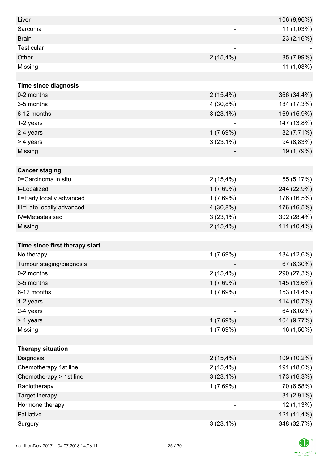| Liver                          |                          | 106 (9,96%) |
|--------------------------------|--------------------------|-------------|
| Sarcoma                        | $\overline{\phantom{a}}$ | 11 (1,03%)  |
| <b>Brain</b>                   |                          | 23 (2,16%)  |
| Testicular                     |                          |             |
| Other                          | $2(15,4\%)$              | 85 (7,99%)  |
| Missing                        |                          | 11 (1,03%)  |
|                                |                          |             |
| <b>Time since diagnosis</b>    |                          |             |
| 0-2 months                     | 2(15,4%)                 | 366 (34,4%) |
| 3-5 months                     | 4 (30,8%)                | 184 (17,3%) |
| 6-12 months                    | $3(23,1\%)$              | 169 (15,9%) |
| 1-2 years                      |                          | 147 (13,8%) |
| 2-4 years                      | 1(7,69%)                 | 82 (7,71%)  |
| > 4 years                      | $3(23,1\%)$              | 94 (8,83%)  |
| Missing                        |                          | 19 (1,79%)  |
|                                |                          |             |
| <b>Cancer staging</b>          |                          |             |
| 0=Carcinoma in situ            | 2(15,4%)                 | 55 (5,17%)  |
| I=Localized                    | 1(7,69%)                 | 244 (22,9%) |
| II=Early locally advanced      | 1(7,69%)                 | 176 (16,5%) |
| III=Late locally advanced      | $4(30,8\%)$              | 176 (16,5%) |
| IV=Metastasised                | $3(23,1\%)$              | 302 (28,4%) |
| Missing                        | 2(15,4%)                 | 111 (10,4%) |
|                                |                          |             |
| Time since first therapy start |                          |             |
| No therapy                     | 1(7,69%)                 | 134 (12,6%) |
| Tumour staging/diagnosis       |                          | 67 (6,30%)  |
| 0-2 months                     | 2(15,4%)                 | 290 (27,3%) |
| 3-5 months                     | 1(7,69%)                 | 145 (13,6%) |
| 6-12 months                    | 1(7,69%)                 | 153 (14,4%) |
| 1-2 years                      |                          | 114 (10,7%) |
| 2-4 years                      | ۰                        | 64 (6,02%)  |
| > 4 years                      | 1(7,69%)                 | 104 (9,77%) |
| Missing                        | 1(7,69%)                 | 16 (1,50%)  |
|                                |                          |             |
| <b>Therapy situation</b>       |                          |             |
| Diagnosis                      | $2(15,4\%)$              | 109 (10,2%) |
| Chemotherapy 1st line          | 2(15,4%)                 | 191 (18,0%) |
| Chemotherapy > 1st line        | $3(23,1\%)$              | 173 (16,3%) |
| Radiotherapy                   | 1(7,69%)                 | 70 (6,58%)  |
| Target therapy                 |                          | 31 (2,91%)  |
| Hormone therapy                |                          | 12 (1,13%)  |
| Palliative                     |                          | 121 (11,4%) |
| Surgery                        | $3(23,1\%)$              | 348 (32,7%) |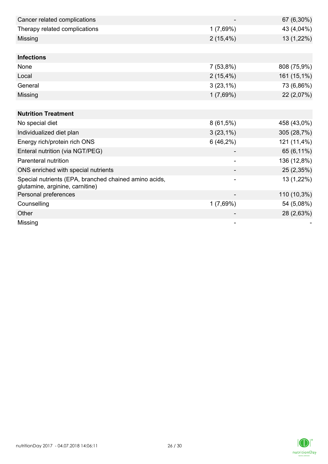| Cancer related complications                                                             |             | 67 (6,30%)  |
|------------------------------------------------------------------------------------------|-------------|-------------|
| Therapy related complications                                                            | 1(7,69%)    | 43 (4,04%)  |
| Missing                                                                                  | 2(15,4%)    | 13 (1,22%)  |
|                                                                                          |             |             |
| <b>Infections</b>                                                                        |             |             |
| None                                                                                     | 7(53,8%)    | 808 (75,9%) |
| Local                                                                                    | $2(15,4\%)$ | 161 (15,1%) |
| General                                                                                  | $3(23,1\%)$ | 73 (6,86%)  |
| Missing                                                                                  | 1(7,69%)    | 22 (2,07%)  |
|                                                                                          |             |             |
| <b>Nutrition Treatment</b>                                                               |             |             |
| No special diet                                                                          | $8(61,5\%)$ | 458 (43,0%) |
| Individualized diet plan                                                                 | $3(23,1\%)$ | 305 (28,7%) |
| Energy rich/protein rich ONS                                                             | 6(46,2%)    | 121 (11,4%) |
| Enteral nutrition (via NGT/PEG)                                                          |             | 65 (6,11%)  |
| Parenteral nutrition                                                                     |             | 136 (12,8%) |
| ONS enriched with special nutrients                                                      |             | 25 (2,35%)  |
| Special nutrients (EPA, branched chained amino acids,<br>glutamine, arginine, carnitine) |             | 13 (1,22%)  |
| Personal preferences                                                                     |             | 110 (10,3%) |
| Counselling                                                                              | 1(7,69%)    | 54 (5,08%)  |
| Other                                                                                    |             | 28 (2,63%)  |
| Missing                                                                                  |             |             |

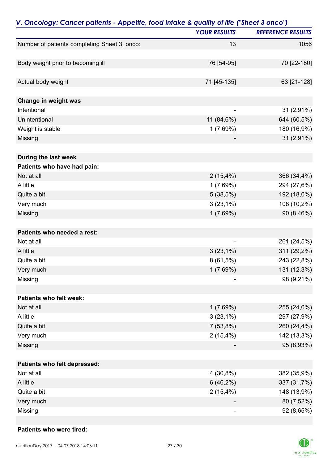| V. Oncology: Cancer patients - Appetite, food intake & quality of life ("Sheet 3 onco") | <b>YOUR RESULTS</b>      | <b>REFERENCE RESULTS</b> |
|-----------------------------------------------------------------------------------------|--------------------------|--------------------------|
|                                                                                         |                          |                          |
| Number of patients completing Sheet 3_onco:                                             | 13                       | 1056                     |
| Body weight prior to becoming ill                                                       | 76 [54-95]               | 70 [22-180]              |
| Actual body weight                                                                      | 71 [45-135]              | 63 [21-128]              |
| Change in weight was                                                                    |                          |                          |
| Intentional                                                                             |                          | 31 (2,91%)               |
| Unintentional                                                                           | 11 (84,6%)               | 644 (60,5%)              |
| Weight is stable                                                                        | 1(7,69%)                 | 180 (16,9%)              |
| Missing                                                                                 |                          | 31 (2,91%)               |
| During the last week                                                                    |                          |                          |
| Patients who have had pain:                                                             |                          |                          |
| Not at all                                                                              | $2(15,4\%)$              | 366 (34,4%)              |
| A little                                                                                | 1(7,69%)                 | 294 (27,6%)              |
| Quite a bit                                                                             | 5(38,5%)                 | 192 (18,0%)              |
| Very much                                                                               | $3(23,1\%)$              | 108 (10,2%)              |
| Missing                                                                                 | 1(7,69%)                 | 90 (8,46%)               |
| Patients who needed a rest:                                                             |                          |                          |
| Not at all                                                                              | $\overline{\phantom{a}}$ | 261 (24,5%)              |
| A little                                                                                | $3(23,1\%)$              | 311 (29,2%)              |
| Quite a bit                                                                             | $8(61,5\%)$              | 243 (22,8%)              |
| Very much                                                                               | 1(7,69%)                 | 131 (12,3%)              |
| Missing                                                                                 |                          | 98 (9,21%)               |
| Patients who felt weak:                                                                 |                          |                          |
| Not at all                                                                              | 1(7,69%)                 | 255 (24,0%)              |
| A little                                                                                | $3(23,1\%)$              | 297 (27,9%)              |
| Quite a bit                                                                             | 7(53,8%)                 | 260 (24,4%)              |
| Very much                                                                               | 2(15,4%)                 | 142 (13,3%)              |
| Missing                                                                                 |                          | 95 (8,93%)               |
| Patients who felt depressed:                                                            |                          |                          |
| Not at all                                                                              | 4 (30,8%)                | 382 (35,9%)              |
| A little                                                                                | 6(46,2%)                 | 337 (31,7%)              |
| Quite a bit                                                                             | 2(15,4%)                 | 148 (13,9%)              |
| Very much                                                                               |                          | 80 (7,52%)               |
| Missing                                                                                 |                          | 92 (8,65%)               |

#### **Patients who were tired:**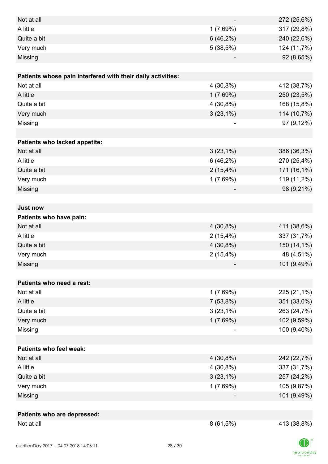| Not at all                                                  |             | 272 (25,6%) |
|-------------------------------------------------------------|-------------|-------------|
| A little                                                    | 1(7,69%)    | 317 (29,8%) |
| Quite a bit                                                 | 6(46,2%)    | 240 (22,6%) |
| Very much                                                   | 5(38,5%)    | 124 (11,7%) |
| Missing                                                     |             | 92 (8,65%)  |
|                                                             |             |             |
| Patients whose pain interfered with their daily activities: |             |             |
| Not at all                                                  | 4 (30,8%)   | 412 (38,7%) |
| A little                                                    | 1(7,69%)    | 250 (23,5%) |
| Quite a bit                                                 | 4 (30,8%)   | 168 (15,8%) |
| Very much                                                   | $3(23,1\%)$ | 114 (10,7%) |
| Missing                                                     |             | 97 (9,12%)  |
|                                                             |             |             |
| Patients who lacked appetite:                               |             |             |
| Not at all                                                  | $3(23,1\%)$ | 386 (36,3%) |
| A little                                                    | 6(46,2%)    | 270 (25,4%) |
| Quite a bit                                                 | 2(15,4%)    | 171 (16,1%) |
| Very much                                                   | 1(7,69%)    | 119 (11,2%) |
| Missing                                                     |             | 98 (9,21%)  |
|                                                             |             |             |
| <b>Just now</b>                                             |             |             |
| Patients who have pain:                                     |             |             |
| Not at all                                                  | 4 (30,8%)   | 411 (38,6%) |
| A little                                                    | 2(15,4%)    | 337 (31,7%) |
| Quite a bit                                                 | 4 (30,8%)   | 150 (14,1%) |
| Very much                                                   | 2(15,4%)    | 48 (4,51%)  |
| Missing                                                     |             | 101 (9,49%) |
|                                                             |             |             |
| Patients who need a rest:                                   |             |             |
| Not at all                                                  | 1(7,69%)    | 225 (21,1%) |
| A little                                                    | 7(53,8%)    | 351 (33,0%) |
| Quite a bit                                                 | $3(23,1\%)$ | 263 (24,7%) |
| Very much                                                   | 1(7,69%)    | 102 (9,59%) |
| Missing                                                     |             | 100 (9,40%) |
|                                                             |             |             |
| <b>Patients who feel weak:</b>                              |             |             |
| Not at all                                                  | $4(30,8\%)$ | 242 (22,7%) |
| A little                                                    | 4 (30,8%)   | 337 (31,7%) |
| Quite a bit                                                 | $3(23,1\%)$ | 257 (24,2%) |
| Very much                                                   | 1(7,69%)    | 105 (9,87%) |
| Missing                                                     |             | 101 (9,49%) |
|                                                             |             |             |
| Patients who are depressed:                                 |             |             |
| Not at all                                                  | $8(61,5\%)$ | 413 (38,8%) |

 $\Box$  $nutri   
tion Day$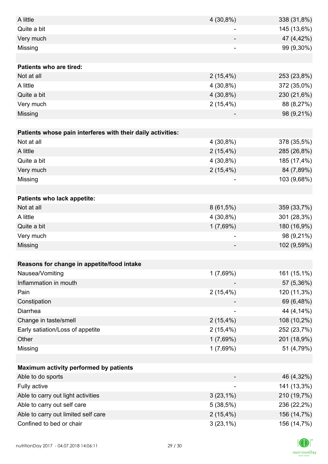| A little                                                    | 4 (30,8%)                | 338 (31,8%) |
|-------------------------------------------------------------|--------------------------|-------------|
| Quite a bit                                                 |                          | 145 (13,6%) |
| Very much                                                   |                          | 47 (4,42%)  |
| Missing                                                     | $\overline{\phantom{a}}$ | 99 (9,30%)  |
|                                                             |                          |             |
| <b>Patients who are tired:</b>                              |                          |             |
| Not at all                                                  | 2(15,4%)                 | 253 (23,8%) |
| A little                                                    | 4 (30,8%)                | 372 (35,0%) |
| Quite a bit                                                 | 4 (30,8%)                | 230 (21,6%) |
| Very much                                                   | $2(15,4\%)$              | 88 (8,27%)  |
| Missing                                                     |                          | 98 (9,21%)  |
|                                                             |                          |             |
| Patients whose pain interferes with their daily activities: |                          |             |
| Not at all                                                  | 4 (30,8%)                | 378 (35,5%) |
| A little                                                    | 2(15,4%)                 | 285 (26,8%) |
| Quite a bit                                                 | 4 (30,8%)                | 185 (17,4%) |
| Very much                                                   | 2(15,4%)                 | 84 (7,89%)  |
| Missing                                                     |                          | 103 (9,68%) |
|                                                             |                          |             |
| <b>Patients who lack appetite:</b>                          |                          |             |
| Not at all                                                  | $8(61,5\%)$              | 359 (33,7%) |
| A little                                                    | 4 (30,8%)                | 301 (28,3%) |
| Quite a bit                                                 | 1(7,69%)                 | 180 (16,9%) |
| Very much                                                   |                          | 98 (9,21%)  |
| Missing                                                     |                          | 102 (9,59%) |
|                                                             |                          |             |
| Reasons for change in appetite/food intake                  |                          |             |
| Nausea/Vomiting                                             | 1(7,69%)                 | 161 (15,1%) |
| Inflammation in mouth                                       |                          | 57 (5,36%)  |
| Pain                                                        | 2(15,4%)                 | 120 (11,3%) |
| Constipation                                                |                          | 69 (6,48%)  |
| Diarrhea                                                    |                          | 44 (4,14%)  |
| Change in taste/smell                                       | 2(15,4%)                 | 108 (10,2%) |
| Early satiation/Loss of appetite                            | 2(15,4%)                 | 252 (23,7%) |
| Other                                                       | 1(7,69%)                 | 201 (18,9%) |
| Missing                                                     | 1(7,69%)                 | 51 (4,79%)  |
|                                                             |                          |             |
| <b>Maximum activity performed by patients</b>               |                          |             |
| Able to do sports                                           |                          | 46 (4,32%)  |
| Fully active                                                |                          | 141 (13,3%) |
| Able to carry out light activities                          | $3(23,1\%)$              | 210 (19,7%) |
| Able to carry out self care                                 | 5(38,5%)                 | 236 (22,2%) |
| Able to carry out limited self care                         | $2(15,4\%)$              | 156 (14,7%) |
| Confined to bed or chair                                    | $3(23,1\%)$              | 156 (14,7%) |